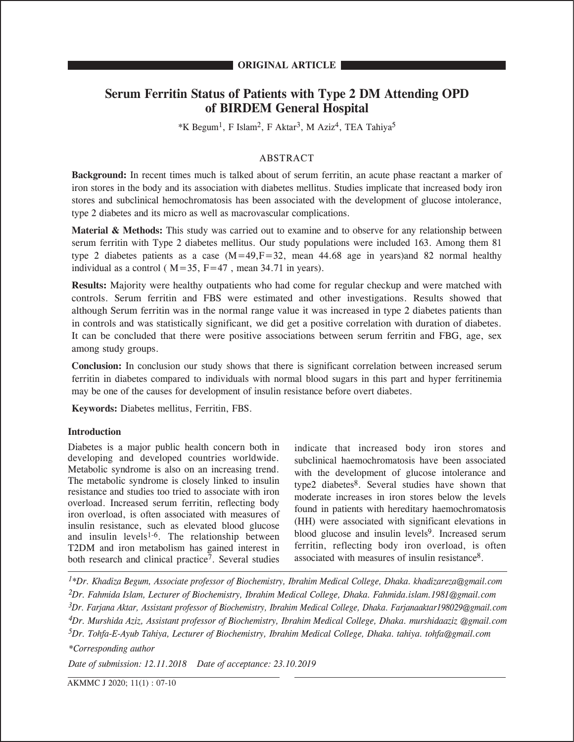# **Serum Ferritin Status of Patients with Type 2 DM Attending OPD of BIRDEM General Hospital**

 $*K$  Begum<sup>1</sup>, F Islam<sup>2</sup>, F Aktar<sup>3</sup>, M Aziz<sup>4</sup>, TEA Tahiya<sup>5</sup>

# ABSTRACT

**Background:** In recent times much is talked about of serum ferritin, an acute phase reactant a marker of iron stores in the body and its association with diabetes mellitus. Studies implicate that increased body iron stores and subclinical hemochromatosis has been associated with the development of glucose intolerance, type 2 diabetes and its micro as well as macrovascular complications.

**Material & Methods:** This study was carried out to examine and to observe for any relationship between serum ferritin with Type 2 diabetes mellitus. Our study populations were included 163. Among them 81 type 2 diabetes patients as a case  $(M=49,F=32$ , mean 44.68 age in years)and 82 normal healthy individual as a control ( $M=35$ ,  $F=47$ , mean 34.71 in years).

**Results:** Majority were healthy outpatients who had come for regular checkup and were matched with controls. Serum ferritin and FBS were estimated and other investigations. Results showed that although Serum ferritin was in the normal range value it was increased in type 2 diabetes patients than in controls and was statistically significant, we did get a positive correlation with duration of diabetes. It can be concluded that there were positive associations between serum ferritin and FBG, age, sex among study groups.

**Conclusion:** In conclusion our study shows that there is significant correlation between increased serum ferritin in diabetes compared to individuals with normal blood sugars in this part and hyper ferritinemia may be one of the causes for development of insulin resistance before overt diabetes.

**Keywords:** Diabetes mellitus, Ferritin, FBS.

# **Introduction**

Diabetes is a major public health concern both in developing and developed countries worldwide. Metabolic syndrome is also on an increasing trend. The metabolic syndrome is closely linked to insulin resistance and studies too tried to associate with iron overload. Increased serum ferritin, reflecting body iron overload, is often associated with measures of insulin resistance, such as elevated blood glucose and insulin levels $1-6$ . The relationship between T2DM and iron metabolism has gained interest in both research and clinical practice<sup>7</sup>. Several studies

indicate that increased body iron stores and subclinical haemochromatosis have been associated with the development of glucose intolerance and type2 diabetes<sup>8</sup>. Several studies have shown that moderate increases in iron stores below the levels found in patients with hereditary haemochromatosis (HH) were associated with significant elevations in blood glucose and insulin levels<sup>9</sup>. Increased serum ferritin, reflecting body iron overload, is often associated with measures of insulin resistance8.

*1\*Dr. Khadiza Begum, Associate professor of Biochemistry, Ibrahim Medical College, Dhaka. khadizareza@gmail.com 2Dr. Fahmida Islam, Lecturer of Biochemistry, Ibrahim Medical College, Dhaka. Fahmida.islam.1981@gmail.com 3Dr. Farjana Aktar, Assistant professor of Biochemistry, Ibrahim Medical College, Dhaka. Farjanaaktar198029@gmail.com 4Dr. Murshida Aziz, Assistant professor of Biochemistry, Ibrahim Medical College, Dhaka. murshidaaziz @gmail.com 5Dr. Tohfa-E-Ayub Tahiya, Lecturer of Biochemistry, Ibrahim Medical College, Dhaka. tahiya. tohfa@gmail.com \*Corresponding author*

*Date of submission: 12.11.2018 Date of acceptance: 23.10.2019*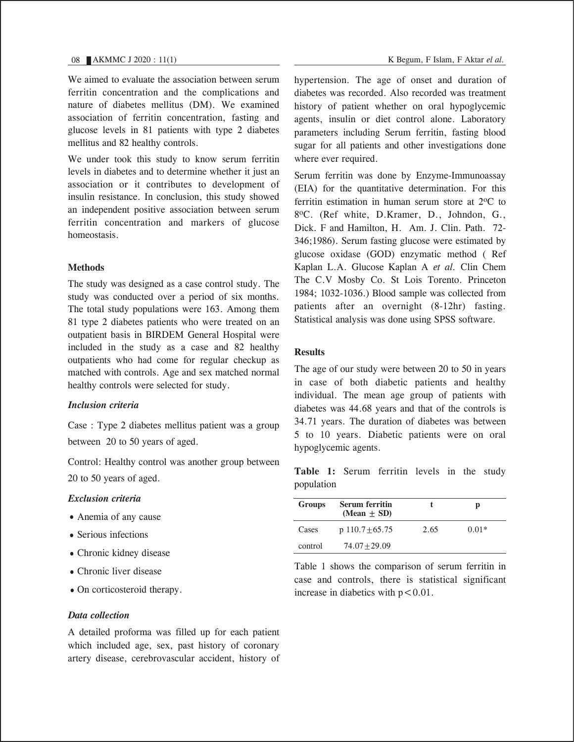We aimed to evaluate the association between serum ferritin concentration and the complications and nature of diabetes mellitus (DM). We examined association of ferritin concentration, fasting and glucose levels in 81 patients with type 2 diabetes mellitus and 82 healthy controls.

We under took this study to know serum ferritin levels in diabetes and to determine whether it just an association or it contributes to development of insulin resistance. In conclusion, this study showed an independent positive association between serum ferritin concentration and markers of glucose homeostasis.

# **Methods**

The study was designed as a case control study. The study was conducted over a period of six months. The total study populations were 163. Among them 81 type 2 diabetes patients who were treated on an outpatient basis in BIRDEM General Hospital were included in the study as a case and 82 healthy outpatients who had come for regular checkup as matched with controls. Age and sex matched normal healthy controls were selected for study.

# *Inclusion criteria*

Case : Type 2 diabetes mellitus patient was a group between 20 to 50 years of aged.

Control: Healthy control was another group between 20 to 50 years of aged.

# *Exclusion criteria*

- Anemia of any cause
- Serious infections
- Chronic kidney disease
- Chronic liver disease
- On corticosteroid therapy.

# *Data collection*

A detailed proforma was filled up for each patient which included age, sex, past history of coronary artery disease, cerebrovascular accident, history of hypertension. The age of onset and duration of diabetes was recorded. Also recorded was treatment history of patient whether on oral hypoglycemic agents, insulin or diet control alone. Laboratory parameters including Serum ferritin, fasting blood sugar for all patients and other investigations done where ever required.

Serum ferritin was done by Enzyme-Immunoassay (EIA) for the quantitative determination. For this ferritin estimation in human serum store at  $2^{\circ}C$  to 8oC. (Ref white, D.Kramer, D., Johndon, G., Dick. F and Hamilton, H. Am. J. Clin. Path. 72- 346;1986). Serum fasting glucose were estimated by glucose oxidase (GOD) enzymatic method ( Ref Kaplan L.A. Glucose Kaplan A *et al.* Clin Chem The C.V Mosby Co. St Lois Torento. Princeton 1984; 1032-1036.) Blood sample was collected from patients after an overnight (8-12hr) fasting. Statistical analysis was done using SPSS software.

# **Results**

The age of our study were between 20 to 50 in years in case of both diabetic patients and healthy individual. The mean age group of patients with diabetes was 44.68 years and that of the controls is 34.71 years. The duration of diabetes was between 5 to 10 years. Diabetic patients were on oral hypoglycemic agents.

**Table 1:** Serum ferritin levels in the study population

| Groups  | <b>Serum ferritin</b><br>(Mean $\pm$ SD) |      | p       |  |
|---------|------------------------------------------|------|---------|--|
| Cases   | p $110.7 \pm 65.75$                      | 2.65 | $0.01*$ |  |
| control | $74.07 + 29.09$                          |      |         |  |

Table 1 shows the comparison of serum ferritin in case and controls, there is statistical significant increase in diabetics with  $p < 0.01$ .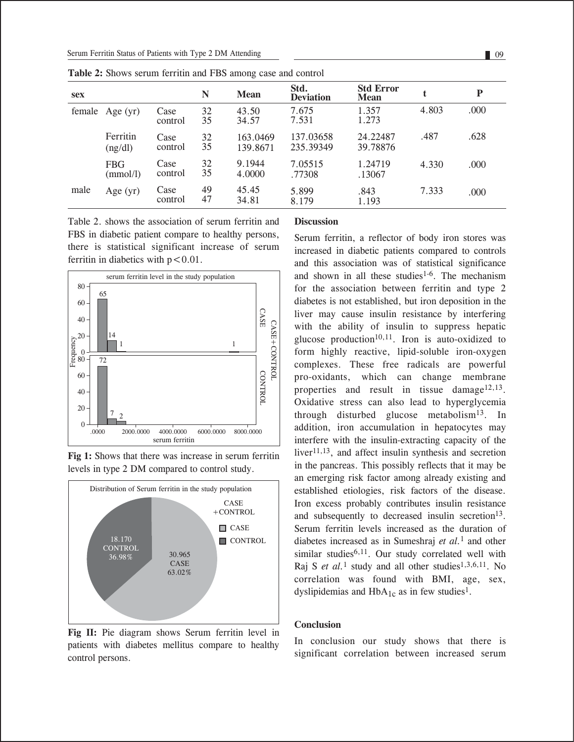| <b>sex</b> |                        |                 | N        | <b>Mean</b>          | Std.<br><b>Deviation</b> | <b>Std Error</b><br><b>Mean</b> |       | P    |
|------------|------------------------|-----------------|----------|----------------------|--------------------------|---------------------------------|-------|------|
|            | female Age (yr)        | Case<br>control | 32<br>35 | 43.50<br>34.57       | 7.675<br>7.531           | 1.357<br>1.273                  | 4.803 | .000 |
|            | Ferritin<br>(ng/dl)    | Case<br>control | 32<br>35 | 163.0469<br>139.8671 | 137.03658<br>235.39349   | 24.22487<br>39.78876            | .487  | .628 |
|            | <b>FBG</b><br>(mmol/l) | Case<br>control | 32<br>35 | 9.1944<br>4.0000     | 7.05515<br>.77308        | 1.24719<br>.13067               | 4.330 | .000 |
| male       | Age $(yr)$             | Case<br>control | 49<br>47 | 45.45<br>34.81       | 5.899<br>8.179           | .843<br>1.193                   | 7.333 | .000 |

**Table 2:** Shows serum ferritin and FBS among case and control

Table 2. shows the association of serum ferritin and FBS in diabetic patient compare to healthy persons, there is statistical significant increase of serum ferritin in diabetics with  $p < 0.01$ .



**Fig 1:** Shows that there was increase in serum ferritin levels in type 2 DM compared to control study.



Fig II: Pie diagram shows Serum ferritin level in patients with diabetes mellitus compare to healthy control persons.

#### **Discussion**

Serum ferritin, a reflector of body iron stores was increased in diabetic patients compared to controls and this association was of statistical significance and shown in all these studies<sup>1-6</sup>. The mechanism for the association between ferritin and type 2 diabetes is not established, but iron deposition in the liver may cause insulin resistance by interfering with the ability of insulin to suppress hepatic glucose production<sup>10,11</sup>. Iron is auto-oxidized to form highly reactive, lipid-soluble iron-oxygen complexes. These free radicals are powerful pro-oxidants, which can change membrane properties and result in tissue damage<sup>12,13</sup>. Oxidative stress can also lead to hyperglycemia through disturbed glucose metabolism $13$ . In addition, iron accumulation in hepatocytes may interfere with the insulin-extracting capacity of the liver $11,13$ , and affect insulin synthesis and secretion in the pancreas. This possibly reflects that it may be an emerging risk factor among already existing and established etiologies, risk factors of the disease. Iron excess probably contributes insulin resistance and subsequently to decreased insulin secretion<sup>13</sup>. Serum ferritin levels increased as the duration of diabetes increased as in Sumeshraj *et al.*1 and other similar studies<sup>6,11</sup>. Our study correlated well with Raj S *et al.*<sup>1</sup> study and all other studies<sup>1,3,6,11</sup>. No correlation was found with BMI, age, sex, dyslipidemias and  $HbA_{1c}$  as in few studies<sup>1</sup>.

# **Conclusion**

In conclusion our study shows that there is significant correlation between increased serum